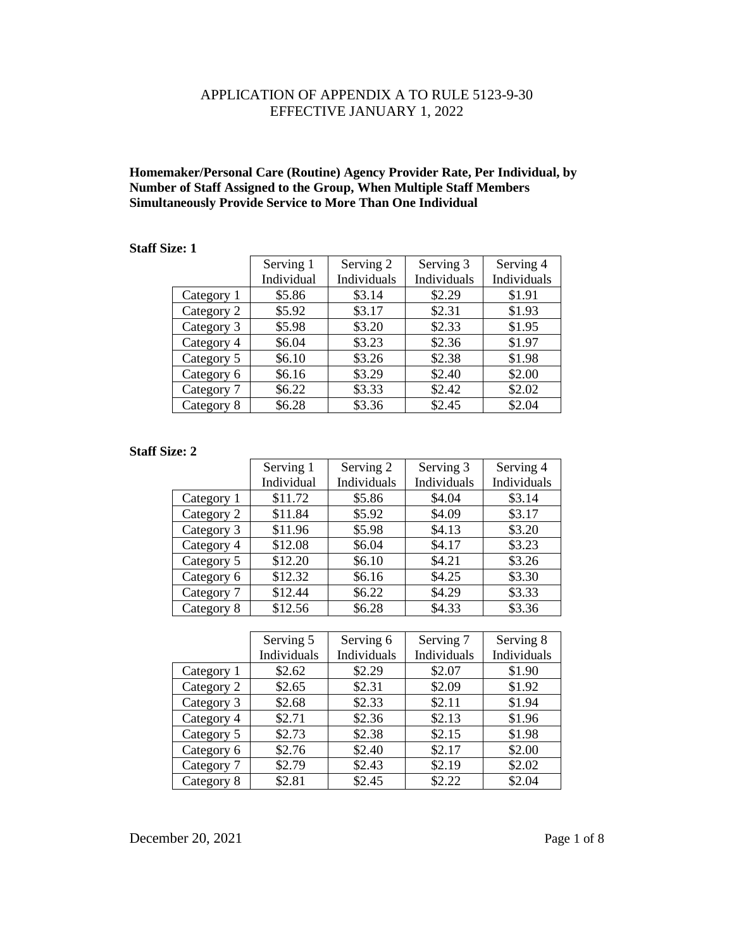## APPLICATION OF APPENDIX A TO RULE 5123-9-30 EFFECTIVE JANUARY 1, 2022

### **Homemaker/Personal Care (Routine) Agency Provider Rate, Per Individual, by Number of Staff Assigned to the Group, When Multiple Staff Members Simultaneously Provide Service to More Than One Individual**

#### **Staff Size: 1.**

|            | Serving 1  | Serving 2   | Serving 3   | Serving 4   |
|------------|------------|-------------|-------------|-------------|
|            | Individual | Individuals | Individuals | Individuals |
| Category 1 | \$5.86     | \$3.14      | \$2.29      | \$1.91      |
| Category 2 | \$5.92     | \$3.17      | \$2.31      | \$1.93      |
| Category 3 | \$5.98     | \$3.20      | \$2.33      | \$1.95      |
| Category 4 | \$6.04     | \$3.23      | \$2.36      | \$1.97      |
| Category 5 | \$6.10     | \$3.26      | \$2.38      | \$1.98      |
| Category 6 | \$6.16     | \$3.29      | \$2.40      | \$2.00      |
| Category 7 | \$6.22     | \$3.33      | \$2.42      | \$2.02      |
| Category 8 | \$6.28     | \$3.36      | \$2.45      | \$2.04      |

#### **Staff Size: 2**

|            | Serving 1  | Serving 2   | Serving 3   | Serving 4   |
|------------|------------|-------------|-------------|-------------|
|            | Individual | Individuals | Individuals | Individuals |
| Category 1 | \$11.72    | \$5.86      | \$4.04      | \$3.14      |
| Category 2 | \$11.84    | \$5.92      | \$4.09      | \$3.17      |
| Category 3 | \$11.96    | \$5.98      | \$4.13      | \$3.20      |
| Category 4 | \$12.08    | \$6.04      | \$4.17      | \$3.23      |
| Category 5 | \$12.20    | \$6.10      | \$4.21      | \$3.26      |
| Category 6 | \$12.32    | \$6.16      | \$4.25      | \$3.30      |
| Category 7 | \$12.44    | \$6.22      | \$4.29      | \$3.33      |
| Category 8 | \$12.56    | \$6.28      | \$4.33      | \$3.36      |

|            | Serving 5   | Serving 6   | Serving 7   | Serving 8   |
|------------|-------------|-------------|-------------|-------------|
|            | Individuals | Individuals | Individuals | Individuals |
| Category 1 | \$2.62      | \$2.29      | \$2.07      | \$1.90      |
| Category 2 | \$2.65      | \$2.31      | \$2.09      | \$1.92      |
| Category 3 | \$2.68      | \$2.33      | \$2.11      | \$1.94      |
| Category 4 | \$2.71      | \$2.36      | \$2.13      | \$1.96      |
| Category 5 | \$2.73      | \$2.38      | \$2.15      | \$1.98      |
| Category 6 | \$2.76      | \$2.40      | \$2.17      | \$2.00      |
| Category 7 | \$2.79      | \$2.43      | \$2.19      | \$2.02      |
| Category 8 | \$2.81      | \$2.45      | \$2.22      | \$2.04      |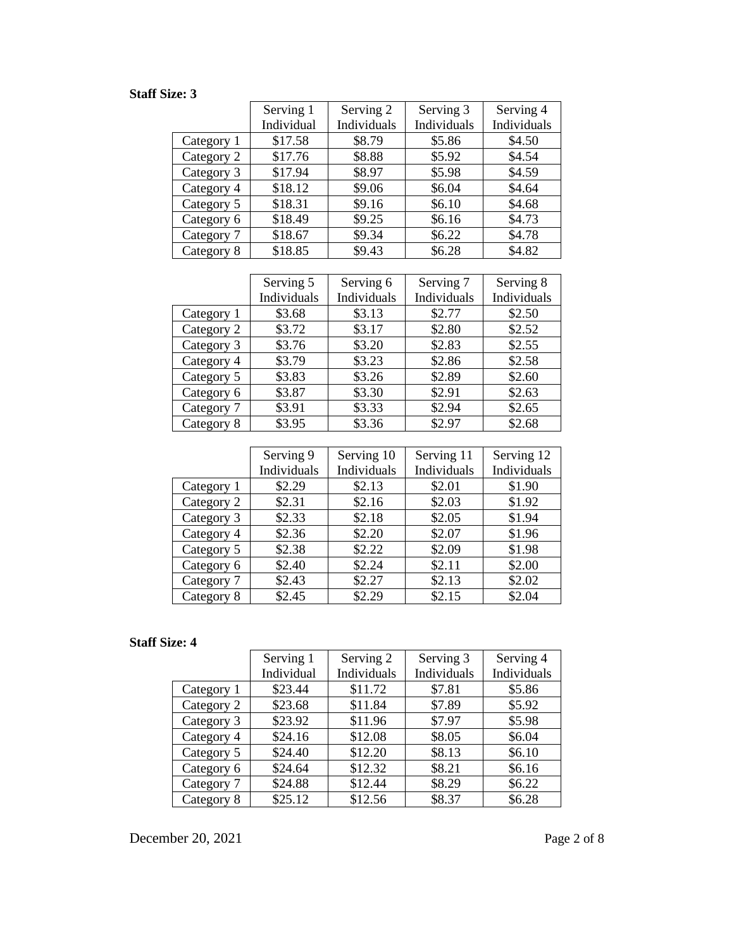|            | Serving 1  | Serving 2   | Serving 3   | Serving 4   |
|------------|------------|-------------|-------------|-------------|
|            | Individual | Individuals | Individuals | Individuals |
| Category 1 | \$17.58    | \$8.79      | \$5.86      | \$4.50      |
| Category 2 | \$17.76    | \$8.88      | \$5.92      | \$4.54      |
| Category 3 | \$17.94    | \$8.97      | \$5.98      | \$4.59      |
| Category 4 | \$18.12    | \$9.06      | \$6.04      | \$4.64      |
| Category 5 | \$18.31    | \$9.16      | \$6.10      | \$4.68      |
| Category 6 | \$18.49    | \$9.25      | \$6.16      | \$4.73      |
| Category 7 | \$18.67    | \$9.34      | \$6.22      | \$4.78      |
| Category 8 | \$18.85    | \$9.43      | \$6.28      | \$4.82      |

|            | Serving 5   | Serving 6   | Serving 7   | Serving 8   |
|------------|-------------|-------------|-------------|-------------|
|            | Individuals | Individuals | Individuals | Individuals |
| Category 1 | \$3.68      | \$3.13      | \$2.77      | \$2.50      |
| Category 2 | \$3.72      | \$3.17      | \$2.80      | \$2.52      |
| Category 3 | \$3.76      | \$3.20      | \$2.83      | \$2.55      |
| Category 4 | \$3.79      | \$3.23      | \$2.86      | \$2.58      |
| Category 5 | \$3.83      | \$3.26      | \$2.89      | \$2.60      |
| Category 6 | \$3.87      | \$3.30      | \$2.91      | \$2.63      |
| Category 7 | \$3.91      | \$3.33      | \$2.94      | \$2.65      |
| Category 8 | \$3.95      | \$3.36      | \$2.97      | \$2.68      |

|            | Serving 9   | Serving 10  | Serving 11  | Serving 12  |
|------------|-------------|-------------|-------------|-------------|
|            | Individuals | Individuals | Individuals | Individuals |
| Category 1 | \$2.29      | \$2.13      | \$2.01      | \$1.90      |
| Category 2 | \$2.31      | \$2.16      | \$2.03      | \$1.92      |
| Category 3 | \$2.33      | \$2.18      | \$2.05      | \$1.94      |
| Category 4 | \$2.36      | \$2.20      | \$2.07      | \$1.96      |
| Category 5 | \$2.38      | \$2.22      | \$2.09      | \$1.98      |
| Category 6 | \$2.40      | \$2.24      | \$2.11      | \$2.00      |
| Category 7 | \$2.43      | \$2.27      | \$2.13      | \$2.02      |
| Category 8 | \$2.45      | \$2.29      | \$2.15      | \$2.04      |

# **Staff Size: 4**

|            | Serving 1  | Serving 2   | Serving 3   | Serving 4   |
|------------|------------|-------------|-------------|-------------|
|            | Individual | Individuals | Individuals | Individuals |
| Category 1 | \$23.44    | \$11.72     | \$7.81      | \$5.86      |
| Category 2 | \$23.68    | \$11.84     | \$7.89      | \$5.92      |
| Category 3 | \$23.92    | \$11.96     | \$7.97      | \$5.98      |
| Category 4 | \$24.16    | \$12.08     | \$8.05      | \$6.04      |
| Category 5 | \$24.40    | \$12.20     | \$8.13      | \$6.10      |
| Category 6 | \$24.64    | \$12.32     | \$8.21      | \$6.16      |
| Category 7 | \$24.88    | \$12.44     | \$8.29      | \$6.22      |
| Category 8 | \$25.12    | \$12.56     | \$8.37      | \$6.28      |

December 20, 2021 Page 2 of 8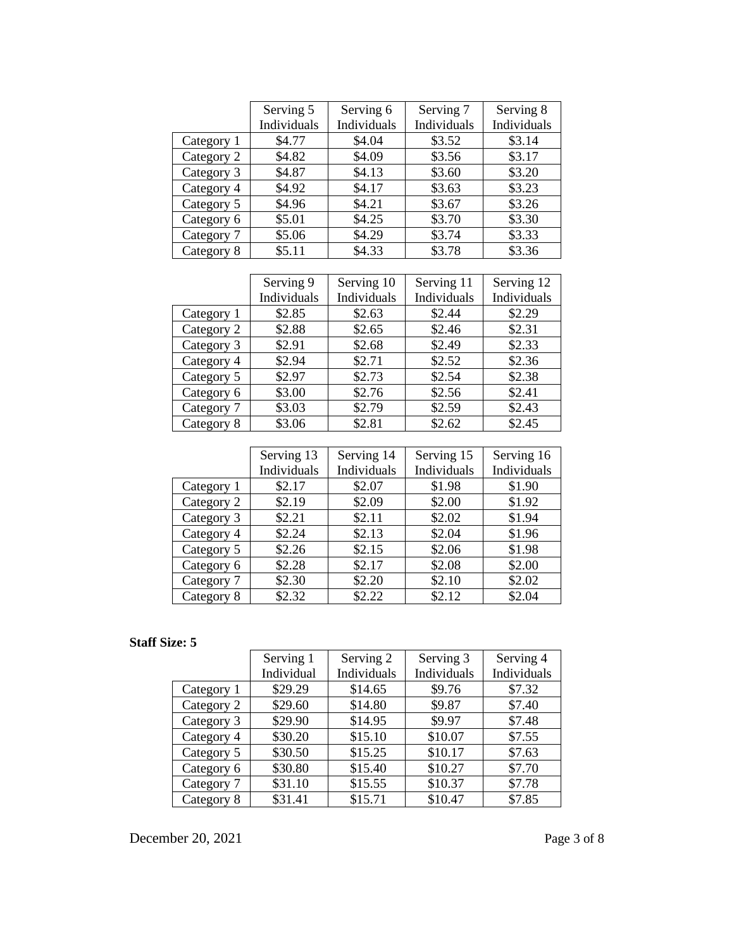|            | Serving 5   | Serving 6   | Serving 7   | Serving 8   |
|------------|-------------|-------------|-------------|-------------|
|            | Individuals | Individuals | Individuals | Individuals |
| Category 1 | \$4.77      | \$4.04      | \$3.52      | \$3.14      |
| Category 2 | \$4.82      | \$4.09      | \$3.56      | \$3.17      |
| Category 3 | \$4.87      | \$4.13      | \$3.60      | \$3.20      |
| Category 4 | \$4.92      | \$4.17      | \$3.63      | \$3.23      |
| Category 5 | \$4.96      | \$4.21      | \$3.67      | \$3.26      |
| Category 6 | \$5.01      | \$4.25      | \$3.70      | \$3.30      |
| Category 7 | \$5.06      | \$4.29      | \$3.74      | \$3.33      |
| Category 8 | \$5.11      | \$4.33      | \$3.78      | \$3.36      |

|            | Serving 9   | Serving 10  | Serving 11  | Serving 12  |
|------------|-------------|-------------|-------------|-------------|
|            | Individuals | Individuals | Individuals | Individuals |
| Category 1 | \$2.85      | \$2.63      | \$2.44      | \$2.29      |
| Category 2 | \$2.88      | \$2.65      | \$2.46      | \$2.31      |
| Category 3 | \$2.91      | \$2.68      | \$2.49      | \$2.33      |
| Category 4 | \$2.94      | \$2.71      | \$2.52      | \$2.36      |
| Category 5 | \$2.97      | \$2.73      | \$2.54      | \$2.38      |
| Category 6 | \$3.00      | \$2.76      | \$2.56      | \$2.41      |
| Category 7 | \$3.03      | \$2.79      | \$2.59      | \$2.43      |
| Category 8 | \$3.06      | \$2.81      | \$2.62      | \$2.45      |

|            | Serving 13  | Serving 14  | Serving 15  | Serving 16  |
|------------|-------------|-------------|-------------|-------------|
|            | Individuals | Individuals | Individuals | Individuals |
| Category 1 | \$2.17      | \$2.07      | \$1.98      | \$1.90      |
| Category 2 | \$2.19      | \$2.09      | \$2.00      | \$1.92      |
| Category 3 | \$2.21      | \$2.11      | \$2.02      | \$1.94      |
| Category 4 | \$2.24      | \$2.13      | \$2.04      | \$1.96      |
| Category 5 | \$2.26      | \$2.15      | \$2.06      | \$1.98      |
| Category 6 | \$2.28      | \$2.17      | \$2.08      | \$2.00      |
| Category 7 | \$2.30      | \$2.20      | \$2.10      | \$2.02      |
| Category 8 | \$2.32      | \$2.22      | \$2.12      | \$2.04      |

|            | Serving 1  | Serving 2   | Serving 3   | Serving 4   |
|------------|------------|-------------|-------------|-------------|
|            | Individual | Individuals | Individuals | Individuals |
| Category 1 | \$29.29    | \$14.65     | \$9.76      | \$7.32      |
| Category 2 | \$29.60    | \$14.80     | \$9.87      | \$7.40      |
| Category 3 | \$29.90    | \$14.95     | \$9.97      | \$7.48      |
| Category 4 | \$30.20    | \$15.10     | \$10.07     | \$7.55      |
| Category 5 | \$30.50    | \$15.25     | \$10.17     | \$7.63      |
| Category 6 | \$30.80    | \$15.40     | \$10.27     | \$7.70      |
| Category 7 | \$31.10    | \$15.55     | \$10.37     | \$7.78      |
| Category 8 | \$31.41    | \$15.71     | \$10.47     | \$7.85      |

December 20, 2021 Page 3 of 8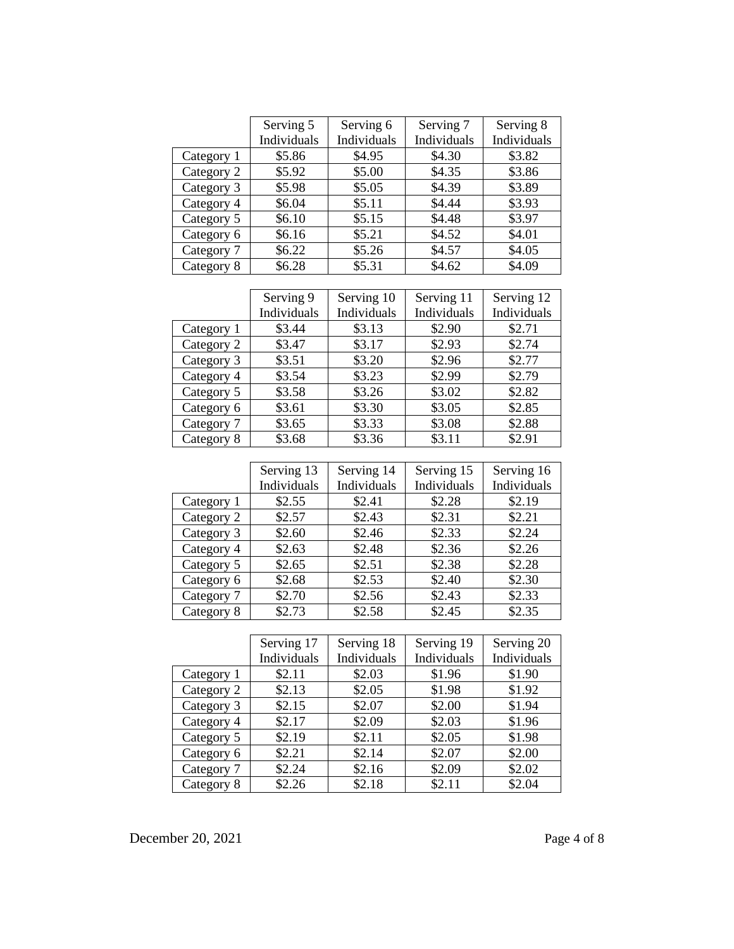|            | Serving 5   | Serving 6   | Serving 7   | Serving 8   |
|------------|-------------|-------------|-------------|-------------|
|            | Individuals | Individuals | Individuals | Individuals |
| Category 1 | \$5.86      | \$4.95      | \$4.30      | \$3.82      |
| Category 2 | \$5.92      | \$5.00      | \$4.35      | \$3.86      |
| Category 3 | \$5.98      | \$5.05      | \$4.39      | \$3.89      |
| Category 4 | \$6.04      | \$5.11      | \$4.44      | \$3.93      |
| Category 5 | \$6.10      | \$5.15      | \$4.48      | \$3.97      |
| Category 6 | \$6.16      | \$5.21      | \$4.52      | \$4.01      |
| Category 7 | \$6.22      | \$5.26      | \$4.57      | \$4.05      |
| Category 8 | \$6.28      | \$5.31      | \$4.62      | \$4.09      |

|            | Serving 9   | Serving 10  | Serving 11  | Serving 12  |
|------------|-------------|-------------|-------------|-------------|
|            | Individuals | Individuals | Individuals | Individuals |
| Category 1 | \$3.44      | \$3.13      | \$2.90      | \$2.71      |
| Category 2 | \$3.47      | \$3.17      | \$2.93      | \$2.74      |
| Category 3 | \$3.51      | \$3.20      | \$2.96      | \$2.77      |
| Category 4 | \$3.54      | \$3.23      | \$2.99      | \$2.79      |
| Category 5 | \$3.58      | \$3.26      | \$3.02      | \$2.82      |
| Category 6 | \$3.61      | \$3.30      | \$3.05      | \$2.85      |
| Category 7 | \$3.65      | \$3.33      | \$3.08      | \$2.88      |
| Category 8 | \$3.68      | \$3.36      | \$3.11      | \$2.91      |

|            | Serving 13<br>Individuals | Serving 14<br>Individuals | Serving 15<br>Individuals | Serving 16<br>Individuals |
|------------|---------------------------|---------------------------|---------------------------|---------------------------|
| Category 1 | \$2.55                    | \$2.41                    | \$2.28                    | \$2.19                    |
| Category 2 | \$2.57                    | \$2.43                    | \$2.31                    | \$2.21                    |
| Category 3 | \$2.60                    | \$2.46                    | \$2.33                    | \$2.24                    |
| Category 4 | \$2.63                    | \$2.48                    | \$2.36                    | \$2.26                    |
| Category 5 | \$2.65                    | \$2.51                    | \$2.38                    | \$2.28                    |
| Category 6 | \$2.68                    | \$2.53                    | \$2.40                    | \$2.30                    |
| Category 7 | \$2.70                    | \$2.56                    | \$2.43                    | \$2.33                    |
| Category 8 | \$2.73                    | \$2.58                    | \$2.45                    | \$2.35                    |

|            | Serving 17  | Serving 18  | Serving 19  | Serving 20  |
|------------|-------------|-------------|-------------|-------------|
|            | Individuals | Individuals | Individuals | Individuals |
| Category 1 | \$2.11      | \$2.03      | \$1.96      | \$1.90      |
| Category 2 | \$2.13      | \$2.05      | \$1.98      | \$1.92      |
| Category 3 | \$2.15      | \$2.07      | \$2.00      | \$1.94      |
| Category 4 | \$2.17      | \$2.09      | \$2.03      | \$1.96      |
| Category 5 | \$2.19      | \$2.11      | \$2.05      | \$1.98      |
| Category 6 | \$2.21      | \$2.14      | \$2.07      | \$2.00      |
| Category 7 | \$2.24      | \$2.16      | \$2.09      | \$2.02      |
| Category 8 | \$2.26      | \$2.18      | \$2.11      | \$2.04      |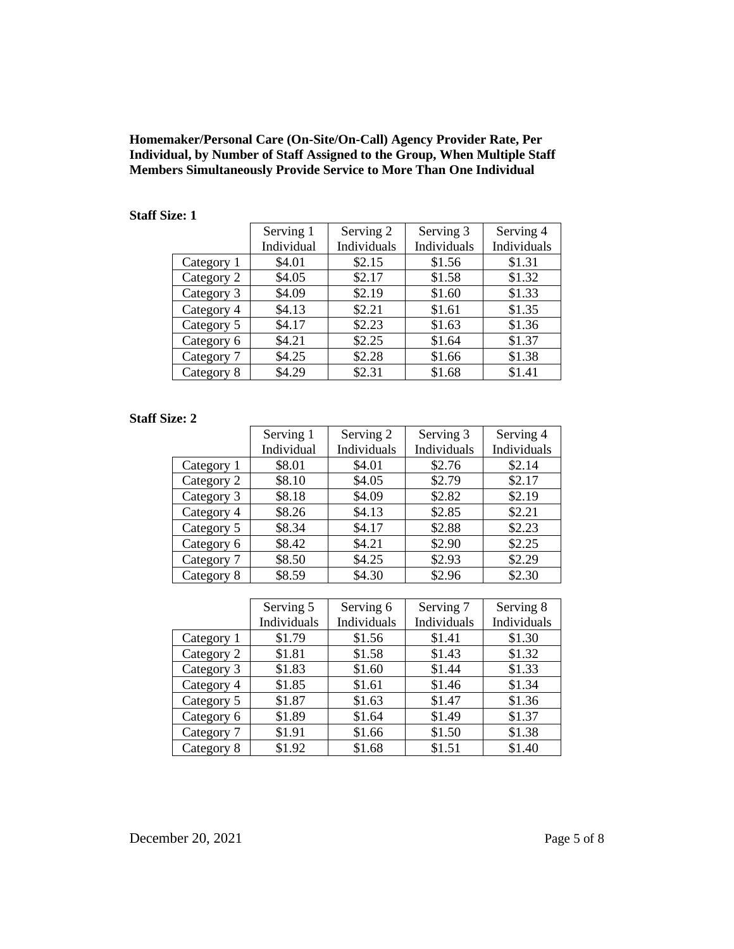**Homemaker/Personal Care (On-Site/On-Call) Agency Provider Rate, Per Individual, by Number of Staff Assigned to the Group, When Multiple Staff Members Simultaneously Provide Service to More Than One Individual**

#### **Staff Size: 1**

|            | Serving 1  | Serving 2   | Serving 3   | Serving 4   |
|------------|------------|-------------|-------------|-------------|
|            | Individual | Individuals | Individuals | Individuals |
| Category 1 | \$4.01     | \$2.15      | \$1.56      | \$1.31      |
| Category 2 | \$4.05     | \$2.17      | \$1.58      | \$1.32      |
| Category 3 | \$4.09     | \$2.19      | \$1.60      | \$1.33      |
| Category 4 | \$4.13     | \$2.21      | \$1.61      | \$1.35      |
| Category 5 | \$4.17     | \$2.23      | \$1.63      | \$1.36      |
| Category 6 | \$4.21     | \$2.25      | \$1.64      | \$1.37      |
| Category 7 | \$4.25     | \$2.28      | \$1.66      | \$1.38      |
| Category 8 | \$4.29     | \$2.31      | \$1.68      | \$1.41      |

#### **Staff Size: 2**

|            | Serving 1  | Serving 2   | Serving 3   | Serving 4   |
|------------|------------|-------------|-------------|-------------|
|            | Individual | Individuals | Individuals | Individuals |
| Category 1 | \$8.01     | \$4.01      | \$2.76      | \$2.14      |
| Category 2 | \$8.10     | \$4.05      | \$2.79      | \$2.17      |
| Category 3 | \$8.18     | \$4.09      | \$2.82      | \$2.19      |
| Category 4 | \$8.26     | \$4.13      | \$2.85      | \$2.21      |
| Category 5 | \$8.34     | \$4.17      | \$2.88      | \$2.23      |
| Category 6 | \$8.42     | \$4.21      | \$2.90      | \$2.25      |
| Category 7 | \$8.50     | \$4.25      | \$2.93      | \$2.29      |
| Category 8 | \$8.59     | \$4.30      | \$2.96      | \$2.30      |

|            | Serving 5   | Serving 6   | Serving 7   | Serving 8   |
|------------|-------------|-------------|-------------|-------------|
|            | Individuals | Individuals | Individuals | Individuals |
| Category 1 | \$1.79      | \$1.56      | \$1.41      | \$1.30      |
| Category 2 | \$1.81      | \$1.58      | \$1.43      | \$1.32      |
| Category 3 | \$1.83      | \$1.60      | \$1.44      | \$1.33      |
| Category 4 | \$1.85      | \$1.61      | \$1.46      | \$1.34      |
| Category 5 | \$1.87      | \$1.63      | \$1.47      | \$1.36      |
| Category 6 | \$1.89      | \$1.64      | \$1.49      | \$1.37      |
| Category 7 | \$1.91      | \$1.66      | \$1.50      | \$1.38      |
| Category 8 | \$1.92      | \$1.68      | \$1.51      | \$1.40      |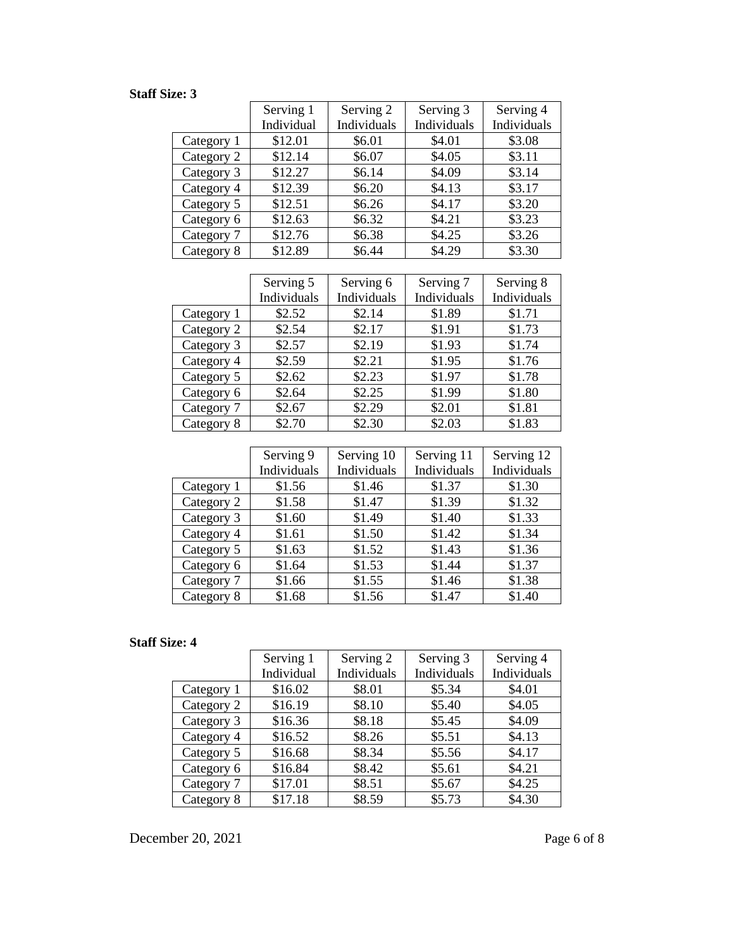|            | Serving 1  | Serving 2   | Serving 3   | Serving 4   |
|------------|------------|-------------|-------------|-------------|
|            | Individual | Individuals | Individuals | Individuals |
| Category 1 | \$12.01    | \$6.01      | \$4.01      | \$3.08      |
| Category 2 | \$12.14    | \$6.07      | \$4.05      | \$3.11      |
| Category 3 | \$12.27    | \$6.14      | \$4.09      | \$3.14      |
| Category 4 | \$12.39    | \$6.20      | \$4.13      | \$3.17      |
| Category 5 | \$12.51    | \$6.26      | \$4.17      | \$3.20      |
| Category 6 | \$12.63    | \$6.32      | \$4.21      | \$3.23      |
| Category 7 | \$12.76    | \$6.38      | \$4.25      | \$3.26      |
| Category 8 | \$12.89    | \$6.44      | \$4.29      | \$3.30      |

|            | Serving 5   | Serving 6   | Serving 7   | Serving 8   |
|------------|-------------|-------------|-------------|-------------|
|            | Individuals | Individuals | Individuals | Individuals |
| Category 1 | \$2.52      | \$2.14      | \$1.89      | \$1.71      |
| Category 2 | \$2.54      | \$2.17      | \$1.91      | \$1.73      |
| Category 3 | \$2.57      | \$2.19      | \$1.93      | \$1.74      |
| Category 4 | \$2.59      | \$2.21      | \$1.95      | \$1.76      |
| Category 5 | \$2.62      | \$2.23      | \$1.97      | \$1.78      |
| Category 6 | \$2.64      | \$2.25      | \$1.99      | \$1.80      |
| Category 7 | \$2.67      | \$2.29      | \$2.01      | \$1.81      |
| Category 8 | \$2.70      | \$2.30      | \$2.03      | \$1.83      |

|            | Serving 9   | Serving 10  | Serving 11  | Serving 12  |
|------------|-------------|-------------|-------------|-------------|
|            | Individuals | Individuals | Individuals | Individuals |
| Category 1 | \$1.56      | \$1.46      | \$1.37      | \$1.30      |
| Category 2 | \$1.58      | \$1.47      | \$1.39      | \$1.32      |
| Category 3 | \$1.60      | \$1.49      | \$1.40      | \$1.33      |
| Category 4 | \$1.61      | \$1.50      | \$1.42      | \$1.34      |
| Category 5 | \$1.63      | \$1.52      | \$1.43      | \$1.36      |
| Category 6 | \$1.64      | \$1.53      | \$1.44      | \$1.37      |
| Category 7 | \$1.66      | \$1.55      | \$1.46      | \$1.38      |
| Category 8 | \$1.68      | \$1.56      | \$1.47      | \$1.40      |

# **Staff Size: 4**

|            | Serving 1  | Serving 2   | Serving 3   | Serving 4   |
|------------|------------|-------------|-------------|-------------|
|            | Individual | Individuals | Individuals | Individuals |
| Category 1 | \$16.02    | \$8.01      | \$5.34      | \$4.01      |
| Category 2 | \$16.19    | \$8.10      | \$5.40      | \$4.05      |
| Category 3 | \$16.36    | \$8.18      | \$5.45      | \$4.09      |
| Category 4 | \$16.52    | \$8.26      | \$5.51      | \$4.13      |
| Category 5 | \$16.68    | \$8.34      | \$5.56      | \$4.17      |
| Category 6 | \$16.84    | \$8.42      | \$5.61      | \$4.21      |
| Category 7 | \$17.01    | \$8.51      | \$5.67      | \$4.25      |
| Category 8 | \$17.18    | \$8.59      | \$5.73      | \$4.30      |

December 20, 2021 Page 6 of 8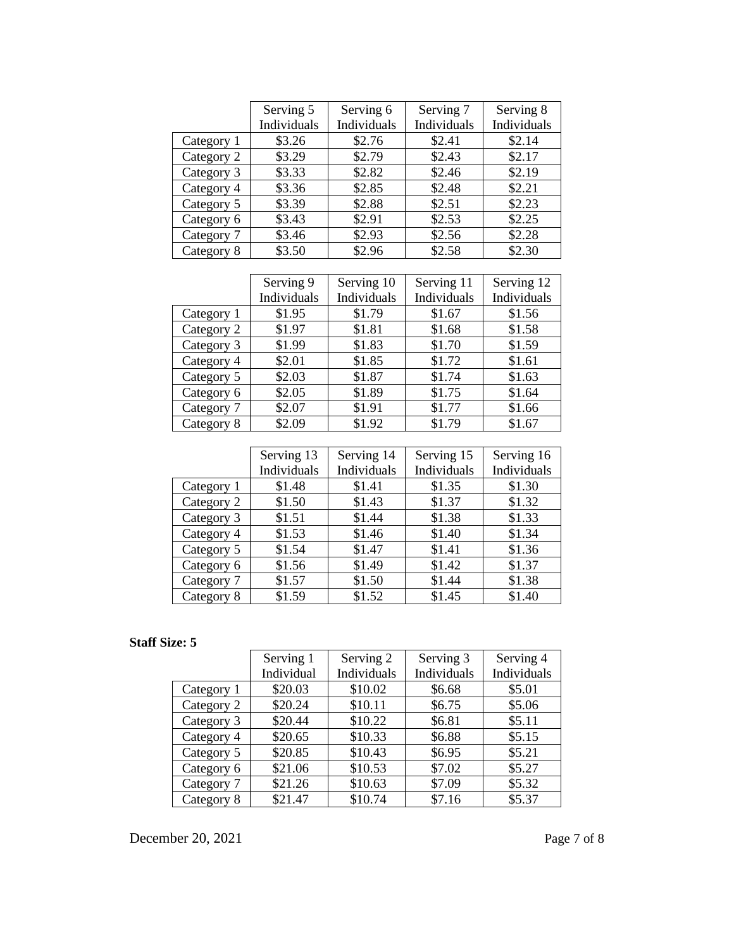|            | Serving 5   | Serving 6   | Serving 7   | Serving 8   |
|------------|-------------|-------------|-------------|-------------|
|            | Individuals | Individuals | Individuals | Individuals |
| Category 1 | \$3.26      | \$2.76      | \$2.41      | \$2.14      |
| Category 2 | \$3.29      | \$2.79      | \$2.43      | \$2.17      |
| Category 3 | \$3.33      | \$2.82      | \$2.46      | \$2.19      |
| Category 4 | \$3.36      | \$2.85      | \$2.48      | \$2.21      |
| Category 5 | \$3.39      | \$2.88      | \$2.51      | \$2.23      |
| Category 6 | \$3.43      | \$2.91      | \$2.53      | \$2.25      |
| Category 7 | \$3.46      | \$2.93      | \$2.56      | \$2.28      |
| Category 8 | \$3.50      | \$2.96      | \$2.58      | \$2.30      |

|            | Serving 9   | Serving 10  | Serving 11  | Serving 12  |
|------------|-------------|-------------|-------------|-------------|
|            | Individuals | Individuals | Individuals | Individuals |
| Category 1 | \$1.95      | \$1.79      | \$1.67      | \$1.56      |
| Category 2 | \$1.97      | \$1.81      | \$1.68      | \$1.58      |
| Category 3 | \$1.99      | \$1.83      | \$1.70      | \$1.59      |
| Category 4 | \$2.01      | \$1.85      | \$1.72      | \$1.61      |
| Category 5 | \$2.03      | \$1.87      | \$1.74      | \$1.63      |
| Category 6 | \$2.05      | \$1.89      | \$1.75      | \$1.64      |
| Category 7 | \$2.07      | \$1.91      | \$1.77      | \$1.66      |
| Category 8 | \$2.09      | \$1.92      | \$1.79      | \$1.67      |

|            | Serving 13  | Serving 14  | Serving 15  | Serving 16  |
|------------|-------------|-------------|-------------|-------------|
|            | Individuals | Individuals | Individuals | Individuals |
| Category 1 | \$1.48      | \$1.41      | \$1.35      | \$1.30      |
| Category 2 | \$1.50      | \$1.43      | \$1.37      | \$1.32      |
| Category 3 | \$1.51      | \$1.44      | \$1.38      | \$1.33      |
| Category 4 | \$1.53      | \$1.46      | \$1.40      | \$1.34      |
| Category 5 | \$1.54      | \$1.47      | \$1.41      | \$1.36      |
| Category 6 | \$1.56      | \$1.49      | \$1.42      | \$1.37      |
| Category 7 | \$1.57      | \$1.50      | \$1.44      | \$1.38      |
| Category 8 | \$1.59      | \$1.52      | \$1.45      | \$1.40      |

|            | Serving 1  | Serving 2   | Serving 3   | Serving 4   |
|------------|------------|-------------|-------------|-------------|
|            | Individual | Individuals | Individuals | Individuals |
| Category 1 | \$20.03    | \$10.02     | \$6.68      | \$5.01      |
| Category 2 | \$20.24    | \$10.11     | \$6.75      | \$5.06      |
| Category 3 | \$20.44    | \$10.22     | \$6.81      | \$5.11      |
| Category 4 | \$20.65    | \$10.33     | \$6.88      | \$5.15      |
| Category 5 | \$20.85    | \$10.43     | \$6.95      | \$5.21      |
| Category 6 | \$21.06    | \$10.53     | \$7.02      | \$5.27      |
| Category 7 | \$21.26    | \$10.63     | \$7.09      | \$5.32      |
| Category 8 | \$21.47    | \$10.74     | \$7.16      | \$5.37      |

December 20, 2021 Page 7 of 8